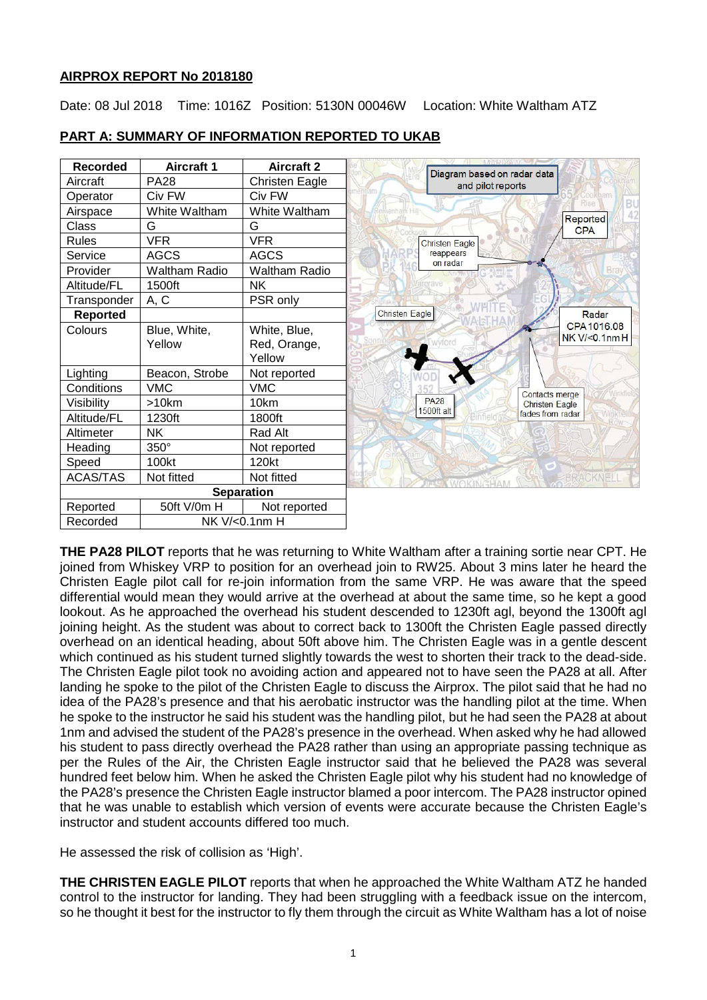### **AIRPROX REPORT No 2018180**

Date: 08 Jul 2018 Time: 1016Z Position: 5130N 00046W Location: White Waltham ATZ



# **PART A: SUMMARY OF INFORMATION REPORTED TO UKAB**

**THE PA28 PILOT** reports that he was returning to White Waltham after a training sortie near CPT. He joined from Whiskey VRP to position for an overhead join to RW25. About 3 mins later he heard the Christen Eagle pilot call for re-join information from the same VRP. He was aware that the speed differential would mean they would arrive at the overhead at about the same time, so he kept a good lookout. As he approached the overhead his student descended to 1230ft agl, beyond the 1300ft agl joining height. As the student was about to correct back to 1300ft the Christen Eagle passed directly overhead on an identical heading, about 50ft above him. The Christen Eagle was in a gentle descent which continued as his student turned slightly towards the west to shorten their track to the dead-side. The Christen Eagle pilot took no avoiding action and appeared not to have seen the PA28 at all. After landing he spoke to the pilot of the Christen Eagle to discuss the Airprox. The pilot said that he had no idea of the PA28's presence and that his aerobatic instructor was the handling pilot at the time. When he spoke to the instructor he said his student was the handling pilot, but he had seen the PA28 at about 1nm and advised the student of the PA28's presence in the overhead. When asked why he had allowed his student to pass directly overhead the PA28 rather than using an appropriate passing technique as per the Rules of the Air, the Christen Eagle instructor said that he believed the PA28 was several hundred feet below him. When he asked the Christen Eagle pilot why his student had no knowledge of the PA28's presence the Christen Eagle instructor blamed a poor intercom. The PA28 instructor opined that he was unable to establish which version of events were accurate because the Christen Eagle's instructor and student accounts differed too much.

He assessed the risk of collision as 'High'.

**THE CHRISTEN EAGLE PILOT** reports that when he approached the White Waltham ATZ he handed control to the instructor for landing. They had been struggling with a feedback issue on the intercom, so he thought it best for the instructor to fly them through the circuit as White Waltham has a lot of noise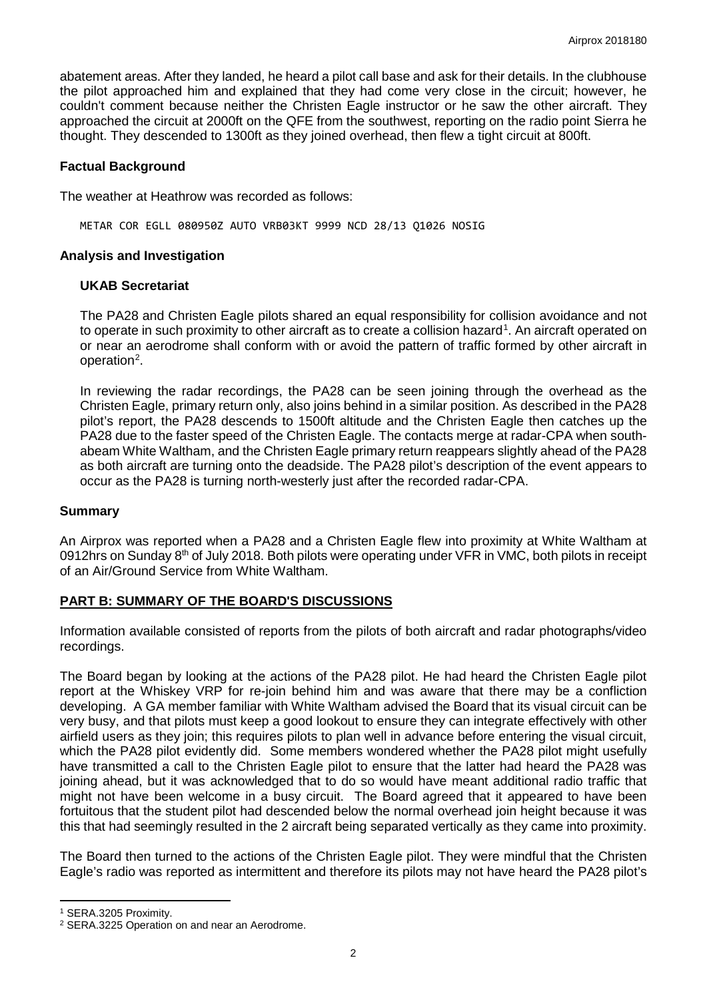abatement areas. After they landed, he heard a pilot call base and ask for their details. In the clubhouse the pilot approached him and explained that they had come very close in the circuit; however, he couldn't comment because neither the Christen Eagle instructor or he saw the other aircraft. They approached the circuit at 2000ft on the QFE from the southwest, reporting on the radio point Sierra he thought. They descended to 1300ft as they joined overhead, then flew a tight circuit at 800ft.

### **Factual Background**

The weather at Heathrow was recorded as follows:

METAR COR EGLL 080950Z AUTO VRB03KT 9999 NCD 28/13 Q1026 NOSIG

### **Analysis and Investigation**

### **UKAB Secretariat**

The PA28 and Christen Eagle pilots shared an equal responsibility for collision avoidance and not to operate in such proximity to other aircraft as to create a collision hazard<sup>[1](#page-1-0)</sup>. An aircraft operated on or near an aerodrome shall conform with or avoid the pattern of traffic formed by other aircraft in operation<sup>[2](#page-1-1)</sup>.

In reviewing the radar recordings, the PA28 can be seen joining through the overhead as the Christen Eagle, primary return only, also joins behind in a similar position. As described in the PA28 pilot's report, the PA28 descends to 1500ft altitude and the Christen Eagle then catches up the PA28 due to the faster speed of the Christen Eagle. The contacts merge at radar-CPA when southabeam White Waltham, and the Christen Eagle primary return reappears slightly ahead of the PA28 as both aircraft are turning onto the deadside. The PA28 pilot's description of the event appears to occur as the PA28 is turning north-westerly just after the recorded radar-CPA.

#### **Summary**

An Airprox was reported when a PA28 and a Christen Eagle flew into proximity at White Waltham at 0912hrs on Sunday 8<sup>th</sup> of July 2018. Both pilots were operating under VFR in VMC, both pilots in receipt of an Air/Ground Service from White Waltham.

# **PART B: SUMMARY OF THE BOARD'S DISCUSSIONS**

Information available consisted of reports from the pilots of both aircraft and radar photographs/video recordings.

The Board began by looking at the actions of the PA28 pilot. He had heard the Christen Eagle pilot report at the Whiskey VRP for re-join behind him and was aware that there may be a confliction developing. A GA member familiar with White Waltham advised the Board that its visual circuit can be very busy, and that pilots must keep a good lookout to ensure they can integrate effectively with other airfield users as they join; this requires pilots to plan well in advance before entering the visual circuit, which the PA28 pilot evidently did. Some members wondered whether the PA28 pilot might usefully have transmitted a call to the Christen Eagle pilot to ensure that the latter had heard the PA28 was joining ahead, but it was acknowledged that to do so would have meant additional radio traffic that might not have been welcome in a busy circuit. The Board agreed that it appeared to have been fortuitous that the student pilot had descended below the normal overhead join height because it was this that had seemingly resulted in the 2 aircraft being separated vertically as they came into proximity.

The Board then turned to the actions of the Christen Eagle pilot. They were mindful that the Christen Eagle's radio was reported as intermittent and therefore its pilots may not have heard the PA28 pilot's

l

<span id="page-1-0"></span><sup>1</sup> SERA.3205 Proximity.

<span id="page-1-1"></span><sup>2</sup> SERA.3225 Operation on and near an Aerodrome.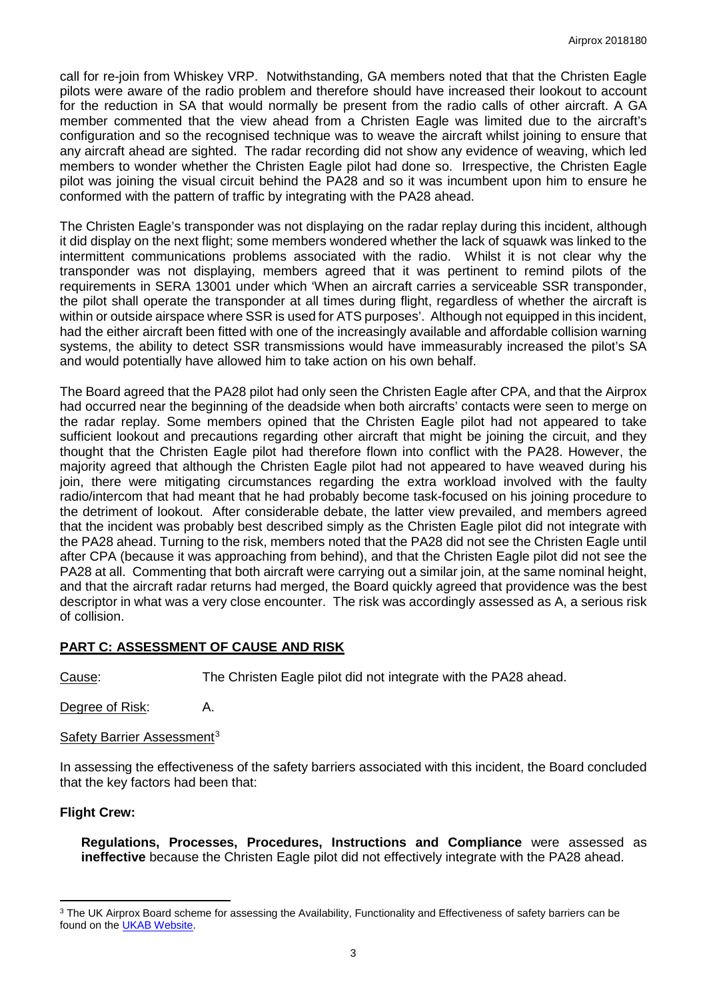call for re-join from Whiskey VRP. Notwithstanding, GA members noted that that the Christen Eagle pilots were aware of the radio problem and therefore should have increased their lookout to account for the reduction in SA that would normally be present from the radio calls of other aircraft. A GA member commented that the view ahead from a Christen Eagle was limited due to the aircraft's configuration and so the recognised technique was to weave the aircraft whilst joining to ensure that any aircraft ahead are sighted. The radar recording did not show any evidence of weaving, which led members to wonder whether the Christen Eagle pilot had done so. Irrespective, the Christen Eagle pilot was joining the visual circuit behind the PA28 and so it was incumbent upon him to ensure he conformed with the pattern of traffic by integrating with the PA28 ahead.

The Christen Eagle's transponder was not displaying on the radar replay during this incident, although it did display on the next flight; some members wondered whether the lack of squawk was linked to the intermittent communications problems associated with the radio. Whilst it is not clear why the transponder was not displaying, members agreed that it was pertinent to remind pilots of the requirements in SERA 13001 under which 'When an aircraft carries a serviceable SSR transponder, the pilot shall operate the transponder at all times during flight, regardless of whether the aircraft is within or outside airspace where SSR is used for ATS purposes'. Although not equipped in this incident, had the either aircraft been fitted with one of the increasingly available and affordable collision warning systems, the ability to detect SSR transmissions would have immeasurably increased the pilot's SA and would potentially have allowed him to take action on his own behalf.

The Board agreed that the PA28 pilot had only seen the Christen Eagle after CPA, and that the Airprox had occurred near the beginning of the deadside when both aircrafts' contacts were seen to merge on the radar replay. Some members opined that the Christen Eagle pilot had not appeared to take sufficient lookout and precautions regarding other aircraft that might be joining the circuit, and they thought that the Christen Eagle pilot had therefore flown into conflict with the PA28. However, the majority agreed that although the Christen Eagle pilot had not appeared to have weaved during his join, there were mitigating circumstances regarding the extra workload involved with the faulty radio/intercom that had meant that he had probably become task-focused on his joining procedure to the detriment of lookout. After considerable debate, the latter view prevailed, and members agreed that the incident was probably best described simply as the Christen Eagle pilot did not integrate with the PA28 ahead. Turning to the risk, members noted that the PA28 did not see the Christen Eagle until after CPA (because it was approaching from behind), and that the Christen Eagle pilot did not see the PA28 at all. Commenting that both aircraft were carrying out a similar join, at the same nominal height, and that the aircraft radar returns had merged, the Board quickly agreed that providence was the best descriptor in what was a very close encounter. The risk was accordingly assessed as A, a serious risk of collision.

# **PART C: ASSESSMENT OF CAUSE AND RISK**

Cause: The Christen Eagle pilot did not integrate with the PA28 ahead.

Degree of Risk: A.

Safety Barrier Assessment<sup>[3](#page-2-0)</sup>

In assessing the effectiveness of the safety barriers associated with this incident, the Board concluded that the key factors had been that:

# **Flight Crew:**

l

**Regulations, Processes, Procedures, Instructions and Compliance** were assessed as **ineffective** because the Christen Eagle pilot did not effectively integrate with the PA28 ahead.

<span id="page-2-0"></span><sup>&</sup>lt;sup>3</sup> The UK Airprox Board scheme for assessing the Availability, Functionality and Effectiveness of safety barriers can be found on the [UKAB Website.](http://www.airproxboard.org.uk/Learn-more/Airprox-Barrier-Assessment/)